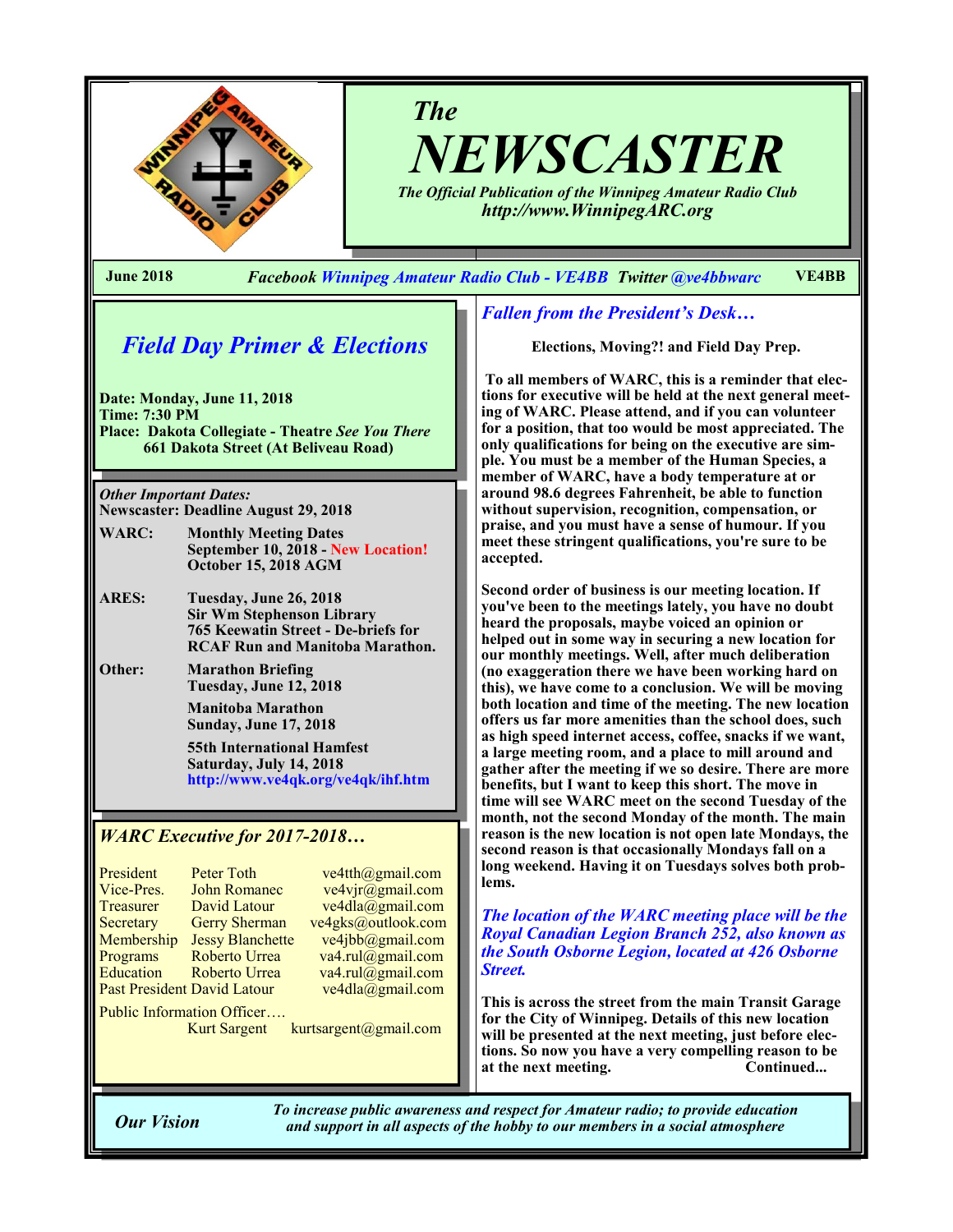

*The NEWSCASTER*

*The Official Publication of the Winnipeg Amateur Radio Club http://www.WinnipegARC.org*

**June 2018** *Facebook Winnipeg Amateur Radio Club - VE4BB Twitter @ve4bbwarc* **VE4BB**

*Field Day Primer & Elections*

**Date: Monday, June 11, 2018 Time: 7:30 PM Place: Dakota Collegiate - Theatre** *See You There* **661 Dakota Street (At Beliveau Road)**

*Other Important Dates:* **Newscaster: Deadline August 29, 2018**

- **WARC: Monthly Meeting Dates September 10, 2018 - New Location! October 15, 2018 AGM**
- **ARES: Tuesday, June 26, 2018 Sir Wm Stephenson Library 765 Keewatin Street - De-briefs for RCAF Run and Manitoba Marathon.**
- **Other: Marathon Briefing Tuesday, June 12, 2018**

**Manitoba Marathon Sunday, June 17, 2018**

**55th International Hamfest Saturday, July 14, 2018 http://www.ve4qk.org/ve4qk/ihf.htm**

#### *WARC Executive for 2017-2018…*

| President                          | <b>Peter Toth</b>       | ve4tth@gmail.com   |  |  |
|------------------------------------|-------------------------|--------------------|--|--|
| Vice-Pres.                         | <b>John Romanec</b>     | ve4vjr@gmail.com   |  |  |
| Treasurer                          | David Latour            | ve4dla@gmail.com   |  |  |
| Secretary                          | <b>Gerry Sherman</b>    | ve4gks@outlook.com |  |  |
| Membership                         | <b>Jessy Blanchette</b> | ve4jbb@gmail.com   |  |  |
| Programs                           | Roberto Urrea           | va4.rul@gmail.com  |  |  |
| Education                          | Roberto Urrea           | va4.rul@gmail.com  |  |  |
| <b>Past President David Latour</b> |                         | ve4dla@gmail.com   |  |  |
| Public Information Officer         |                         |                    |  |  |

Kurt Sargent kurtsargent@gmail.com

*Fallen from the President's Desk…*

**Elections, Moving?! and Field Day Prep.**

**To all members of WARC, this is a reminder that elections for executive will be held at the next general meeting of WARC. Please attend, and if you can volunteer for a position, that too would be most appreciated. The only qualifications for being on the executive are simple. You must be a member of the Human Species, a member of WARC, have a body temperature at or around 98.6 degrees Fahrenheit, be able to function without supervision, recognition, compensation, or praise, and you must have a sense of humour. If you meet these stringent qualifications, you're sure to be accepted.** 

**Second order of business is our meeting location. If you've been to the meetings lately, you have no doubt heard the proposals, maybe voiced an opinion or helped out in some way in securing a new location for our monthly meetings. Well, after much deliberation (no exaggeration there we have been working hard on this), we have come to a conclusion. We will be moving both location and time of the meeting. The new location offers us far more amenities than the school does, such as high speed internet access, coffee, snacks if we want, a large meeting room, and a place to mill around and gather after the meeting if we so desire. There are more benefits, but I want to keep this short. The move in time will see WARC meet on the second Tuesday of the month, not the second Monday of the month. The main reason is the new location is not open late Mondays, the second reason is that occasionally Mondays fall on a long weekend. Having it on Tuesdays solves both problems.** 

*The location of the WARC meeting place will be the Royal Canadian Legion Branch 252, also known as the South Osborne Legion, located at 426 Osborne Street.* 

**This is across the street from the main Transit Garage for the City of Winnipeg. Details of this new location will be presented at the next meeting, just before elections. So now you have a very compelling reason to be at the next meeting. Continued...**

*To increase public awareness and respect for Amateur radio; to provide education Our Vision and support in all aspects of the hobby to our members in a social atmosphere*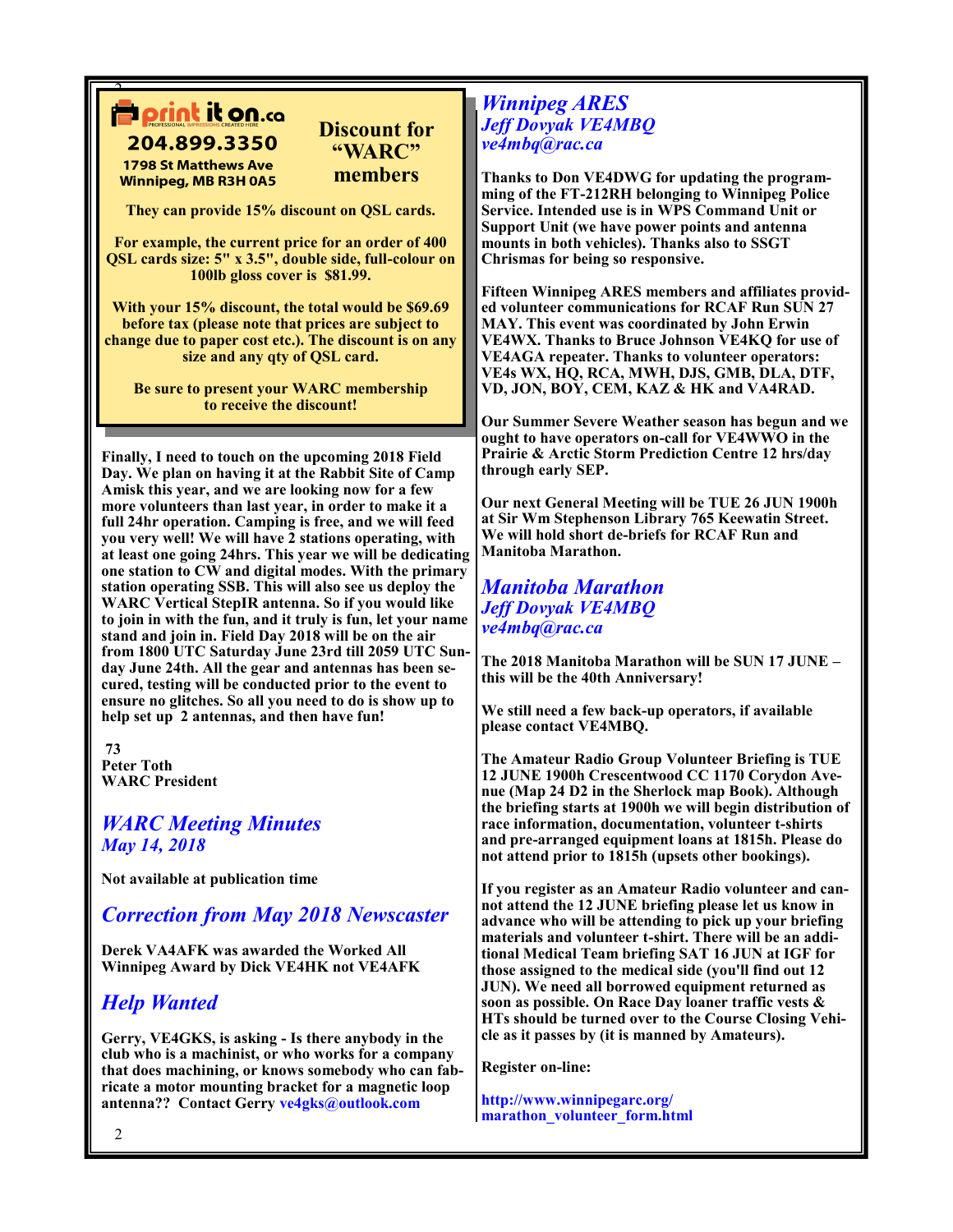204.899.3350 **1798 St Matthews Ave Winnipeg, MB R3H 0A5** 

 $\overline{ }$ 

**They can provide 15% discount on QSL cards.**

**Discount for "WARC" members**

**For example, the current price for an order of 400 QSL cards size: 5" x 3.5", double side, full-colour on 100lb gloss cover is \$81.99.** 

**With your 15% discount, the total would be \$69.69 before tax (please note that prices are subject to change due to paper cost etc.). The discount is on any size and any qty of QSL card.**

**Be sure to present your WARC membership to receive the discount!**

**Finally, I need to touch on the upcoming 2018 Field Day. We plan on having it at the Rabbit Site of Camp Amisk this year, and we are looking now for a few more volunteers than last year, in order to make it a full 24hr operation. Camping is free, and we will feed you very well! We will have 2 stations operating, with at least one going 24hrs. This year we will be dedicating one station to CW and digital modes. With the primary station operating SSB. This will also see us deploy the WARC Vertical StepIR antenna. So if you would like to join in with the fun, and it truly is fun, let your name stand and join in. Field Day 2018 will be on the air from 1800 UTC Saturday June 23rd till 2059 UTC Sunday June 24th. All the gear and antennas has been secured, testing will be conducted prior to the event to ensure no glitches. So all you need to do is show up to help set up 2 antennas, and then have fun!** 

**73 Peter Toth WARC President** 

## *WARC Meeting Minutes May 14, 2018*

**Not available at publication time**

## *Correction from May 2018 Newscaster*

**Derek VA4AFK was awarded the Worked All Winnipeg Award by Dick VE4HK not VE4AFK**

# *Help Wanted*

**Gerry, VE4GKS, is asking - Is there anybody in the club who is a machinist, or who works for a company that does machining, or knows somebody who can fabricate a motor mounting bracket for a magnetic loop antenna?? Contact Gerry ve4gks@outlook.com**

## *Winnipeg ARES Jeff Dovyak VE4MBQ ve4mbq@rac.ca*

**Thanks to Don VE4DWG for updating the programming of the FT-212RH belonging to Winnipeg Police Service. Intended use is in WPS Command Unit or Support Unit (we have power points and antenna mounts in both vehicles). Thanks also to SSGT Chrismas for being so responsive.**

**Fifteen Winnipeg ARES members and affiliates provided volunteer communications for RCAF Run SUN 27 MAY. This event was coordinated by John Erwin VE4WX. Thanks to Bruce Johnson VE4KQ for use of VE4AGA repeater. Thanks to volunteer operators: VE4s WX, HQ, RCA, MWH, DJS, GMB, DLA, DTF, VD, JON, BOY, CEM, KAZ & HK and VA4RAD.**

**Our Summer Severe Weather season has begun and we ought to have operators on-call for VE4WWO in the Prairie & Arctic Storm Prediction Centre 12 hrs/day through early SEP.**

**Our next General Meeting will be TUE 26 JUN 1900h at Sir Wm Stephenson Library 765 Keewatin Street. We will hold short de-briefs for RCAF Run and Manitoba Marathon.**

## *Manitoba Marathon Jeff Dovyak VE4MBQ ve4mbq@rac.ca*

**The 2018 Manitoba Marathon will be SUN 17 JUNE – this will be the 40th Anniversary!**

**We still need a few back-up operators, if available please contact VE4MBQ.**

**The Amateur Radio Group Volunteer Briefing is TUE 12 JUNE 1900h Crescentwood CC 1170 Corydon Avenue (Map 24 D2 in the Sherlock map Book). Although the briefing starts at 1900h we will begin distribution of race information, documentation, volunteer t-shirts and pre-arranged equipment loans at 1815h. Please do not attend prior to 1815h (upsets other bookings).**

**If you register as an Amateur Radio volunteer and cannot attend the 12 JUNE briefing please let us know in advance who will be attending to pick up your briefing materials and volunteer t-shirt. There will be an additional Medical Team briefing SAT 16 JUN at IGF for those assigned to the medical side (you'll find out 12 JUN). We need all borrowed equipment returned as soon as possible. On Race Day loaner traffic vests & HTs should be turned over to the Course Closing Vehicle as it passes by (it is manned by Amateurs).**

**Register on-line:** 

**http://www.winnipegarc.org/ marathon\_volunteer\_form.html**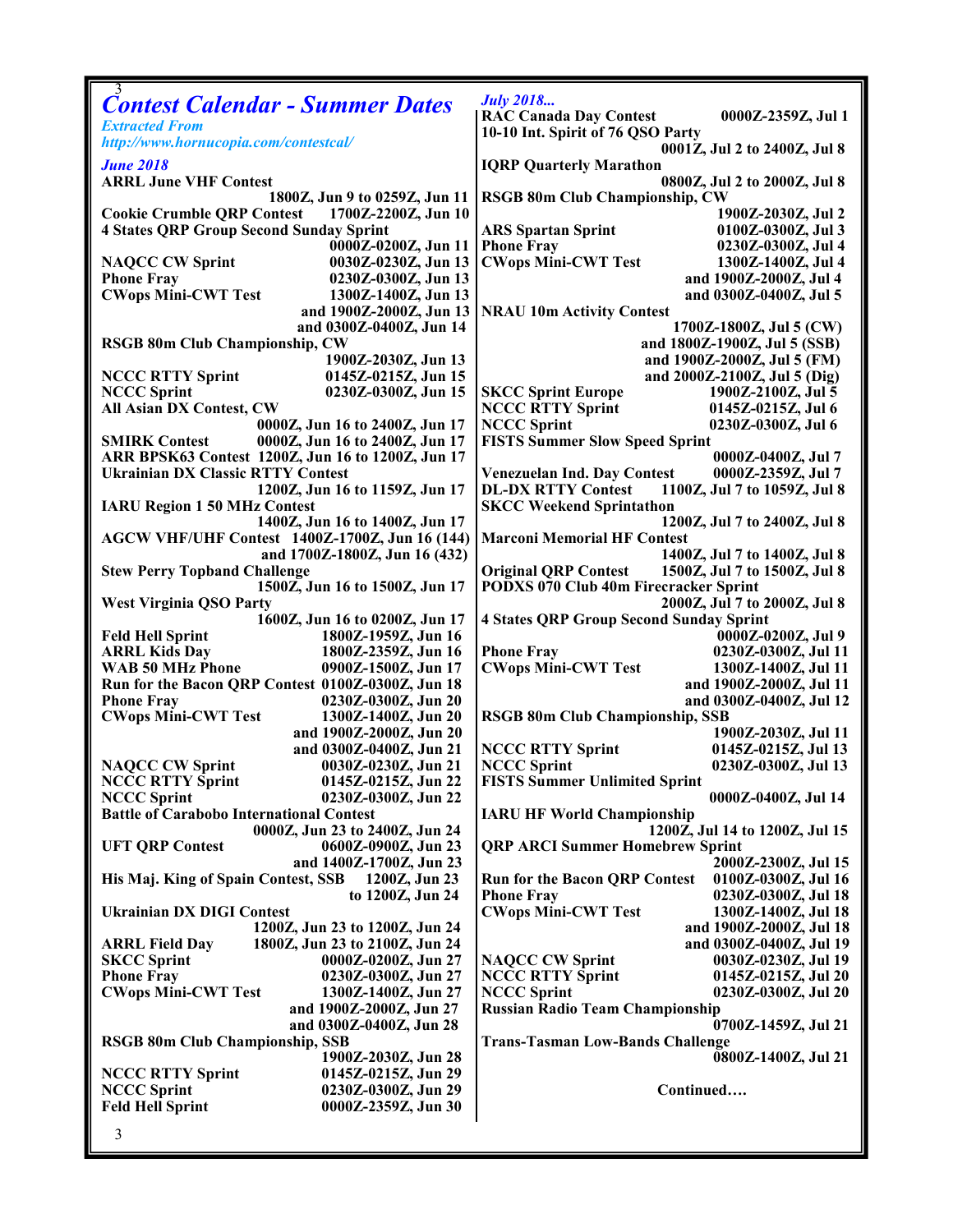|                                                 |                                                   | <b>July 2018</b>                                                     |                                       |  |
|-------------------------------------------------|---------------------------------------------------|----------------------------------------------------------------------|---------------------------------------|--|
|                                                 | <b>Contest Calendar - Summer Dates</b>            | <b>RAC Canada Day Contest</b>                                        | 0000Z-2359Z, Jul 1                    |  |
| <b>Extracted From</b>                           |                                                   | 10-10 Int. Spirit of 76 QSO Party                                    |                                       |  |
| http://www.hornucopia.com/contestcal/           |                                                   | 0001Z, Jul 2 to 2400Z, Jul 8                                         |                                       |  |
| <b>June 2018</b>                                |                                                   | <b>IQRP Quarterly Marathon</b>                                       |                                       |  |
| <b>ARRL June VHF Contest</b>                    |                                                   | 0800Z, Jul 2 to 2000Z, Jul 8                                         |                                       |  |
| 1800Z, Jun 9 to 0259Z, Jun 11                   |                                                   |                                                                      | <b>RSGB 80m Club Championship, CW</b> |  |
| <b>Cookie Crumble QRP Contest</b>               | 1700Z-2200Z, Jun 10                               |                                                                      | 1900Z-2030Z, Jul 2                    |  |
| <b>4 States QRP Group Second Sunday Sprint</b>  |                                                   | <b>ARS Spartan Sprint</b>                                            | 0100Z-0300Z, Jul 3                    |  |
|                                                 | 0000Z-0200Z, Jun 11                               | <b>Phone Fray</b>                                                    | 0230Z-0300Z, Jul 4                    |  |
| <b>NAQCC CW Sprint</b>                          | 0030Z-0230Z, Jun 13                               | <b>CWops Mini-CWT Test</b>                                           | 1300Z-1400Z, Jul 4                    |  |
| <b>Phone Fray</b>                               | 0230Z-0300Z, Jun 13                               |                                                                      | and 1900Z-2000Z, Jul 4                |  |
| <b>CWops Mini-CWT Test</b>                      | 1300Z-1400Z, Jun 13                               |                                                                      | and 0300Z-0400Z, Jul 5                |  |
|                                                 | and 1900Z-2000Z, Jun 13                           | <b>NRAU 10m Activity Contest</b>                                     |                                       |  |
|                                                 | and 0300Z-0400Z, Jun 14                           |                                                                      | 1700Z-1800Z, Jul 5 (CW)               |  |
| <b>RSGB 80m Club Championship, CW</b>           |                                                   |                                                                      | and 1800Z-1900Z, Jul 5 (SSB)          |  |
|                                                 | 1900Z-2030Z, Jun 13                               |                                                                      | and 1900Z-2000Z, Jul 5 (FM)           |  |
| <b>NCCC RTTY Sprint</b>                         | 0145Z-0215Z, Jun 15                               |                                                                      | and 2000Z-2100Z, Jul 5 (Dig)          |  |
| <b>NCCC Sprint</b>                              | 0230Z-0300Z, Jun 15                               | <b>SKCC Sprint Europe</b>                                            | 1900Z-2100Z, Jul 5                    |  |
| All Asian DX Contest, CW                        |                                                   | <b>NCCC RTTY Sprint</b>                                              | 0145Z-0215Z, Jul 6                    |  |
|                                                 | 0000Z, Jun 16 to 2400Z, Jun 17                    | <b>NCCC Sprint</b>                                                   | 0230Z-0300Z, Jul 6                    |  |
| <b>SMIRK Contest</b>                            | 0000Z, Jun 16 to 2400Z, Jun 17                    | <b>FISTS Summer Slow Speed Sprint</b>                                |                                       |  |
|                                                 | ARR BPSK63 Contest 1200Z, Jun 16 to 1200Z, Jun 17 |                                                                      | 0000Z-0400Z, Jul 7                    |  |
| <b>Ukrainian DX Classic RTTY Contest</b>        |                                                   | <b>Venezuelan Ind. Day Contest</b>                                   | 0000Z-2359Z, Jul 7                    |  |
|                                                 | 1200Z, Jun 16 to 1159Z, Jun 17                    | <b>DL-DX RTTY Contest</b><br>1100Z, Jul 7 to 1059Z, Jul 8            |                                       |  |
| <b>IARU Region 1 50 MHz Contest</b>             |                                                   | <b>SKCC Weekend Sprintathon</b>                                      |                                       |  |
|                                                 | 1400Z, Jun 16 to 1400Z, Jun 17                    |                                                                      | 1200Z, Jul 7 to 2400Z, Jul 8          |  |
|                                                 | AGCW VHF/UHF Contest 1400Z-1700Z, Jun 16 (144)    | <b>Marconi Memorial HF Contest</b>                                   |                                       |  |
|                                                 | and 1700Z-1800Z, Jun 16 (432)                     |                                                                      | 1400Z, Jul 7 to 1400Z, Jul 8          |  |
| <b>Stew Perry Topband Challenge</b>             |                                                   | <b>Original QRP Contest</b><br>PODXS 070 Club 40m Firecracker Sprint | 1500Z, Jul 7 to 1500Z, Jul 8          |  |
|                                                 | 1500Z, Jun 16 to 1500Z, Jun 17                    |                                                                      | 2000Z, Jul 7 to 2000Z, Jul 8          |  |
| <b>West Virginia QSO Party</b>                  | 1600Z, Jun 16 to 0200Z, Jun 17                    | <b>4 States QRP Group Second Sunday Sprint</b>                       |                                       |  |
| <b>Feld Hell Sprint</b>                         | 1800Z-1959Z, Jun 16                               |                                                                      | 0000Z-0200Z, Jul 9                    |  |
| <b>ARRL Kids Day</b>                            | 1800Z-2359Z, Jun 16                               | <b>Phone Fray</b>                                                    | 0230Z-0300Z, Jul 11                   |  |
| <b>WAB 50 MHz Phone</b>                         | 0900Z-1500Z, Jun 17                               | <b>CWops Mini-CWT Test</b>                                           | 1300Z-1400Z, Jul 11                   |  |
|                                                 | Run for the Bacon QRP Contest 0100Z-0300Z, Jun 18 |                                                                      | and 1900Z-2000Z, Jul 11               |  |
| <b>Phone Fray</b>                               | 0230Z-0300Z, Jun 20                               |                                                                      | and 0300Z-0400Z, Jul 12               |  |
| <b>CWops Mini-CWT Test</b>                      | 1300Z-1400Z, Jun 20                               | <b>RSGB 80m Club Championship, SSB</b>                               |                                       |  |
|                                                 | and 1900Z-2000Z, Jun 20                           |                                                                      | 1900Z-2030Z, Jul 11                   |  |
|                                                 | and 0300Z-0400Z, Jun 21                           | <b>NCCC RTTY Sprint</b>                                              | 0145Z-0215Z, Jul 13                   |  |
| <b>NAQCC CW Sprint</b>                          | 0030Z-0230Z, Jun 21                               | <b>NCCC Sprint</b>                                                   | 0230Z-0300Z, Jul 13                   |  |
| <b>NCCC RTTY Sprint</b>                         | 0145Z-0215Z, Jun 22                               | <b>FISTS Summer Unlimited Sprint</b>                                 |                                       |  |
| <b>NCCC Sprint</b>                              | 0230Z-0300Z, Jun 22                               |                                                                      | 0000Z-0400Z, Jul 14                   |  |
| <b>Battle of Carabobo International Contest</b> |                                                   | <b>IARU HF World Championship</b>                                    |                                       |  |
| 0000Z, Jun 23 to 2400Z, Jun 24                  |                                                   | 1200Z, Jul 14 to 1200Z, Jul 15                                       |                                       |  |
| <b>UFT QRP Contest</b>                          | 0600Z-0900Z, Jun 23                               | <b>QRP ARCI Summer Homebrew Sprint</b>                               |                                       |  |
|                                                 | and 1400Z-1700Z, Jun 23                           |                                                                      | 2000Z-2300Z, Jul 15                   |  |
| His Maj. King of Spain Contest, SSB             | 1200Z, Jun 23                                     | <b>Run for the Bacon QRP Contest</b>                                 | 0100Z-0300Z, Jul 16                   |  |
|                                                 | to 1200Z, Jun 24                                  | <b>Phone Fray</b>                                                    | 0230Z-0300Z, Jul 18                   |  |
| <b>Ukrainian DX DIGI Contest</b>                |                                                   | <b>CWops Mini-CWT Test</b>                                           | 1300Z-1400Z, Jul 18                   |  |
|                                                 | 1200Z, Jun 23 to 1200Z, Jun 24                    |                                                                      | and 1900Z-2000Z, Jul 18               |  |
| <b>ARRL Field Day</b>                           | 1800Z, Jun 23 to 2100Z, Jun 24                    |                                                                      | and 0300Z-0400Z, Jul 19               |  |
| <b>SKCC Sprint</b>                              | 0000Z-0200Z, Jun 27                               | <b>NAQCC CW Sprint</b>                                               | 0030Z-0230Z, Jul 19                   |  |
| <b>Phone Fray</b>                               | 0230Z-0300Z, Jun 27                               | <b>NCCC RTTY Sprint</b>                                              | 0145Z-0215Z, Jul 20                   |  |
| <b>CWops Mini-CWT Test</b>                      | 1300Z-1400Z, Jun 27                               | <b>NCCC Sprint</b>                                                   | 0230Z-0300Z, Jul 20                   |  |
|                                                 | and 1900Z-2000Z, Jun 27                           | <b>Russian Radio Team Championship</b>                               |                                       |  |
|                                                 | and 0300Z-0400Z, Jun 28                           |                                                                      | 0700Z-1459Z, Jul 21                   |  |
| RSGB 80m Club Championship, SSB                 |                                                   | <b>Trans-Tasman Low-Bands Challenge</b>                              |                                       |  |
|                                                 | 1900Z-2030Z, Jun 28                               |                                                                      | 0800Z-1400Z, Jul 21                   |  |
| <b>NCCC RTTY Sprint</b>                         | 0145Z-0215Z, Jun 29                               |                                                                      |                                       |  |
| <b>NCCC Sprint</b>                              | 0230Z-0300Z, Jun 29                               | Continued                                                            |                                       |  |
| <b>Feld Hell Sprint</b>                         | 0000Z-2359Z, Jun 30                               |                                                                      |                                       |  |
|                                                 |                                                   |                                                                      |                                       |  |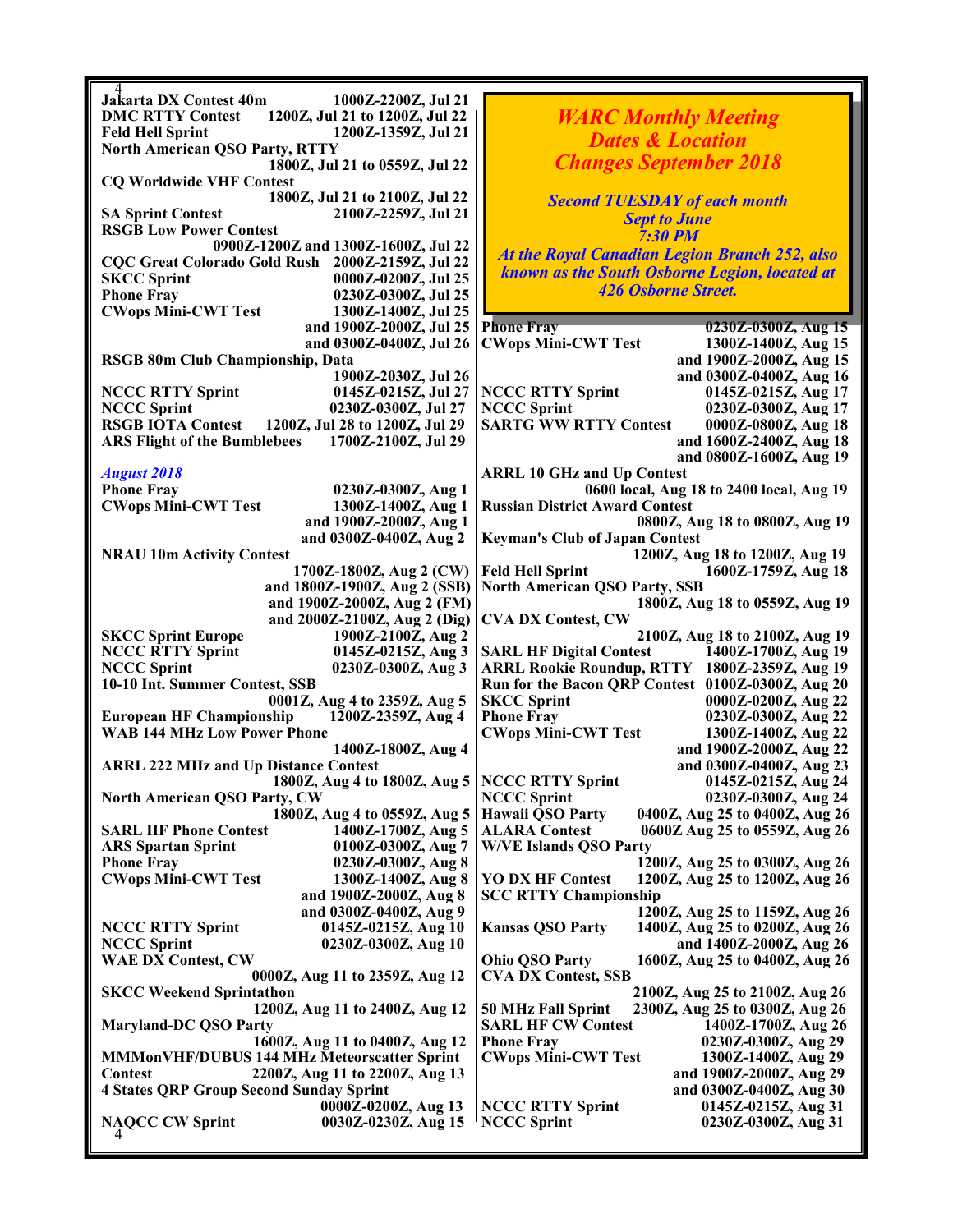| Jakarta DX Contest 40m                                     |                                                           |  |
|------------------------------------------------------------|-----------------------------------------------------------|--|
| 1000Z-2200Z, Jul 21                                        |                                                           |  |
| 1200Z, Jul 21 to 1200Z, Jul 22<br><b>DMC RTTY Contest</b>  | <b>WARC Monthly Meeting</b>                               |  |
| <b>Feld Hell Sprint</b><br>1200Z-1359Z, Jul 21             | <b>Dates &amp; Location</b>                               |  |
| <b>North American QSO Party, RTTY</b>                      |                                                           |  |
| 1800Z, Jul 21 to 0559Z, Jul 22                             | <b>Changes September 2018</b>                             |  |
| <b>CQ Worldwide VHF Contest</b>                            |                                                           |  |
| 1800Z, Jul 21 to 2100Z, Jul 22                             | <b>Second TUESDAY of each month</b>                       |  |
| <b>SA Sprint Contest</b><br>2100Z-2259Z, Jul 21            | <b>Sept to June</b>                                       |  |
| <b>RSGB Low Power Contest</b>                              | <b>7:30 PM</b>                                            |  |
| 0900Z-1200Z and 1300Z-1600Z, Jul 22                        | <b>At the Royal Canadian Legion Branch 252, also</b>      |  |
| CQC Great Colorado Gold Rush 2000Z-2159Z, Jul 22           | known as the South Osborne Legion, located at             |  |
| 0000Z-0200Z, Jul 25<br><b>SKCC Sprint</b>                  |                                                           |  |
| <b>Phone Fray</b><br>0230Z-0300Z, Jul 25                   | 426 Osborne Street.                                       |  |
| <b>CWops Mini-CWT Test</b><br>1300Z-1400Z, Jul 25          |                                                           |  |
| and 1900Z-2000Z, Jul 25                                    | <b>Phone Fray</b><br>0230Z-0300Z, Aug 15                  |  |
| and 0300Z-0400Z, Jul 26                                    | <b>CWops Mini-CWT Test</b><br>1300Z-1400Z, Aug 15         |  |
| RSGB 80m Club Championship, Data                           | and 1900Z-2000Z, Aug 15                                   |  |
| 1900Z-2030Z, Jul 26                                        | and 0300Z-0400Z, Aug 16                                   |  |
| <b>NCCC RTTY Sprint</b><br>0145Z-0215Z, Jul 27             | <b>NCCC RTTY Sprint</b><br>0145Z-0215Z, Aug 17            |  |
| <b>NCCC Sprint</b><br>0230Z-0300Z, Jul 27                  | <b>NCCC Sprint</b><br>0230Z-0300Z, Aug 17                 |  |
| <b>RSGB IOTA Contest</b><br>1200Z, Jul 28 to 1200Z, Jul 29 | <b>SARTG WW RTTY Contest</b><br>0000Z-0800Z, Aug 18       |  |
| 1700Z-2100Z, Jul 29                                        |                                                           |  |
| <b>ARS Flight of the Bumblebees</b>                        | and 1600Z-2400Z, Aug 18                                   |  |
|                                                            | and 0800Z-1600Z, Aug 19                                   |  |
| <b>August 2018</b>                                         | <b>ARRL 10 GHz and Up Contest</b>                         |  |
| <b>Phone Fray</b><br>0230Z-0300Z, Aug 1                    | 0600 local, Aug 18 to 2400 local, Aug 19                  |  |
| <b>CWops Mini-CWT Test</b><br>1300Z-1400Z, Aug 1           | <b>Russian District Award Contest</b>                     |  |
| and 1900Z-2000Z, Aug 1                                     | 0800Z, Aug 18 to 0800Z, Aug 19                            |  |
| and 0300Z-0400Z, Aug 2                                     | <b>Keyman's Club of Japan Contest</b>                     |  |
| <b>NRAU 10m Activity Contest</b>                           | 1200Z, Aug 18 to 1200Z, Aug 19                            |  |
| 1700Z-1800Z, Aug 2 (CW)                                    | <b>Feld Hell Sprint</b><br>1600Z-1759Z, Aug 18            |  |
| and 1800Z-1900Z, Aug 2 (SSB)                               | <b>North American QSO Party, SSB</b>                      |  |
| and 1900Z-2000Z, Aug 2 (FM)                                | 1800Z, Aug 18 to 0559Z, Aug 19                            |  |
| and 2000Z-2100Z, Aug 2 (Dig)                               | <b>CVA DX Contest, CW</b>                                 |  |
| <b>SKCC Sprint Europe</b><br>1900Z-2100Z, Aug 2            | 2100Z, Aug 18 to 2100Z, Aug 19                            |  |
| <b>NCCC RTTY Sprint</b><br>0145Z-0215Z, Aug 3              | <b>SARL HF Digital Contest</b><br>1400Z-1700Z, Aug 19     |  |
| <b>NCCC Sprint</b><br>0230Z-0300Z, Aug 3                   | ARRL Rookie Roundup, RTTY 1800Z-2359Z, Aug 19             |  |
| 10-10 Int. Summer Contest, SSB                             | Run for the Bacon QRP Contest 0100Z-0300Z, Aug 20         |  |
| 0001Z, Aug 4 to 2359Z, Aug 5                               | <b>SKCC Sprint</b><br>0000Z-0200Z, Aug 22                 |  |
|                                                            | <b>Phone Fray</b>                                         |  |
| 1200Z-2359Z, Aug 4<br><b>European HF Championship</b>      | 0230Z-0300Z, Aug 22                                       |  |
| <b>WAB 144 MHz Low Power Phone</b>                         | <b>CWops Mini-CWT Test</b><br>1300Z-1400Z, Aug 22         |  |
| 1400Z-1800Z, Aug 4                                         | and 1900Z-2000Z, Aug 22                                   |  |
| <b>ARRL 222 MHz and Up Distance Contest</b>                | and 0300Z-0400Z, Aug 23                                   |  |
| 1800Z, Aug 4 to 1800Z, Aug 5   NCCC RTTY Sprint            | 0145Z-0215Z, Aug 24                                       |  |
| <b>North American QSO Party, CW</b>                        | <b>NCCC Sprint</b><br>0230Z-0300Z, Aug 24                 |  |
| 1800Z, Aug 4 to 0559Z, Aug 5                               | 0400Z, Aug 25 to 0400Z, Aug 26<br>Hawaii QSO Party        |  |
|                                                            |                                                           |  |
| <b>SARL HF Phone Contest</b><br>1400Z-1700Z, Aug 5         | <b>ALARA Contest</b><br>0600Z Aug 25 to 0559Z, Aug 26     |  |
| <b>ARS Spartan Sprint</b><br>0100Z-0300Z, Aug 7            | <b>W/VE Islands QSO Party</b>                             |  |
| <b>Phone Fray</b><br>0230Z-0300Z, Aug 8                    | 1200Z, Aug 25 to 0300Z, Aug 26                            |  |
| <b>CWops Mini-CWT Test</b><br>1300Z-1400Z, Aug 8           | <b>YO DX HF Contest</b><br>1200Z, Aug 25 to 1200Z, Aug 26 |  |
| and 1900Z-2000Z, Aug 8                                     |                                                           |  |
|                                                            | <b>SCC RTTY Championship</b>                              |  |
| and 0300Z-0400Z, Aug 9                                     | 1200Z, Aug 25 to 1159Z, Aug 26                            |  |
| 0145Z-0215Z, Aug 10<br><b>NCCC RTTY Sprint</b>             | <b>Kansas QSO Party</b><br>1400Z, Aug 25 to 0200Z, Aug 26 |  |
| <b>NCCC Sprint</b><br>0230Z-0300Z, Aug 10                  | and 1400Z-2000Z, Aug 26                                   |  |
| <b>WAE DX Contest, CW</b>                                  | <b>Ohio QSO Party</b><br>1600Z, Aug 25 to 0400Z, Aug 26   |  |
| 0000Z, Aug 11 to 2359Z, Aug 12                             | <b>CVA DX Contest, SSB</b>                                |  |
| <b>SKCC Weekend Sprintathon</b>                            | 2100Z, Aug 25 to 2100Z, Aug 26                            |  |
| 1200Z, Aug 11 to 2400Z, Aug 12                             | 50 MHz Fall Sprint<br>2300Z, Aug 25 to 0300Z, Aug 26      |  |
| <b>Maryland-DC QSO Party</b>                               | <b>SARL HF CW Contest</b><br>1400Z-1700Z, Aug 26          |  |
| 1600Z, Aug 11 to 0400Z, Aug 12                             | <b>Phone Fray</b><br>0230Z-0300Z, Aug 29                  |  |
| <b>MMMonVHF/DUBUS 144 MHz Meteorscatter Sprint</b>         | <b>CWops Mini-CWT Test</b><br>1300Z-1400Z, Aug 29         |  |
| 2200Z, Aug 11 to 2200Z, Aug 13<br><b>Contest</b>           | and 1900Z-2000Z, Aug 29                                   |  |
| <b>4 States QRP Group Second Sunday Sprint</b>             | and 0300Z-0400Z, Aug 30                                   |  |
| 0000Z-0200Z, Aug 13                                        | <b>NCCC RTTY Sprint</b><br>0145Z-0215Z, Aug 31            |  |
| NAQCC CW Sprint<br>0030Z-0230Z, Aug 15                     | <b>NCCC Sprint</b><br>0230Z-0300Z, Aug 31                 |  |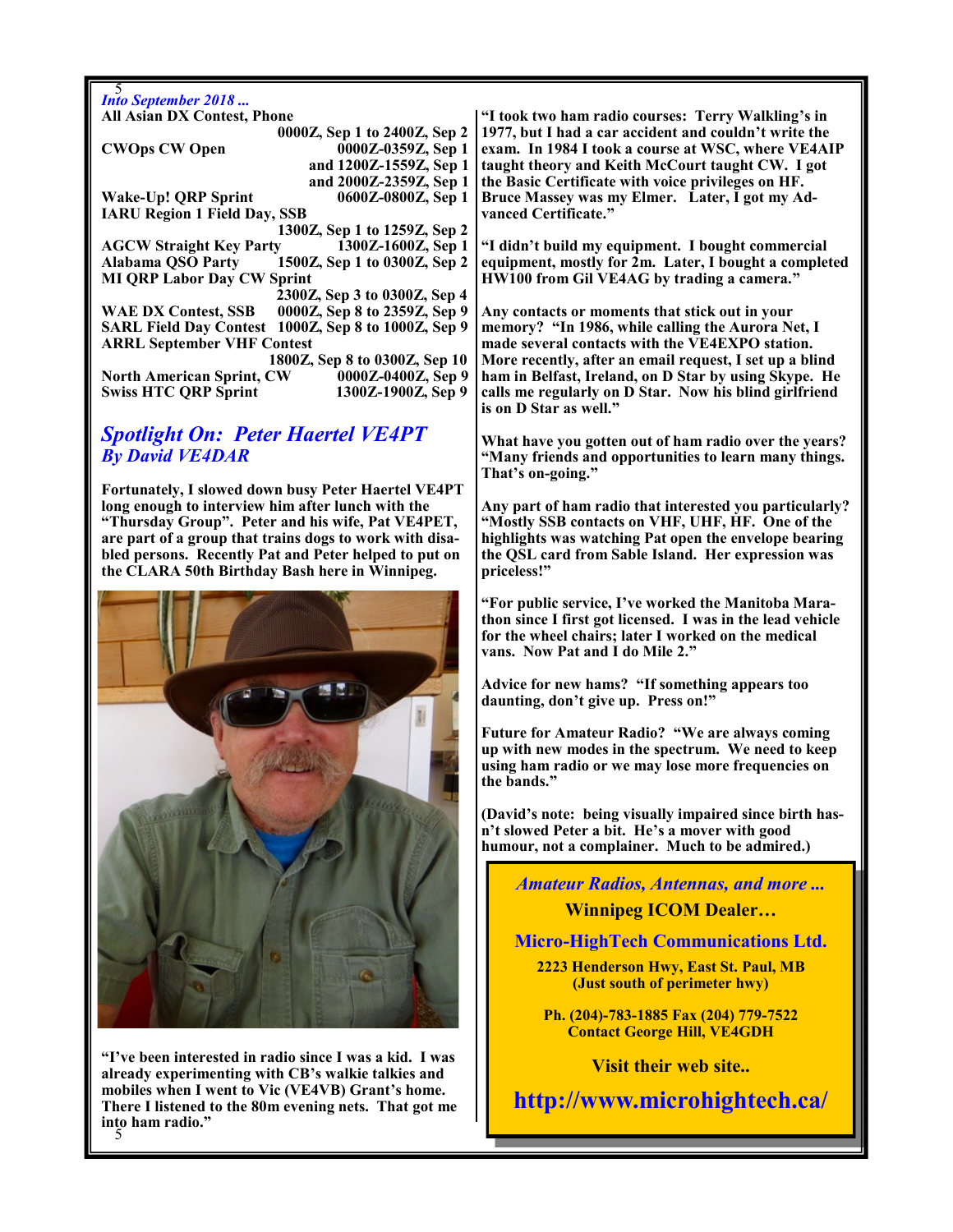5 *Into September 2018 ...* **All Asian DX Contest, Phone 0000Z, Sep 1 to 2400Z, Sep 2 CWOps CW Open 0000Z-0359Z, Sep 1 and 1200Z-1559Z, Sep 1 and 2000Z-2359Z, Sep 1 Wake-Up! QRP Sprint 0600Z-0800Z, Sep 1 IARU Region 1 Field Day, SSB 1300Z, Sep 1 to 1259Z, Sep 2 AGCW Straight Key Party 1300Z-1600Z, Sep 1 Alabama QSO Party 1500Z, Sep 1 to 0300Z, Sep 2 MI QRP Labor Day CW Sprint 2300Z, Sep 3 to 0300Z, Sep 4 WAE DX Contest, SSB 0000Z, Sep 8 to 2359Z, Sep 9 SARL Field Day Contest 1000Z, Sep 8 to 1000Z, Sep 9 ARRL September VHF Contest 1800Z, Sep 8 to 0300Z, Sep 10 North American Sprint, CW 0000Z-0400Z, Sep 9**  $Sw$ **iss HTC QRP Sprint** 

## *Spotlight On: Peter Haertel VE4PT By David VE4DAR*

**Fortunately, I slowed down busy Peter Haertel VE4PT long enough to interview him after lunch with the "Thursday Group". Peter and his wife, Pat VE4PET, are part of a group that trains dogs to work with disabled persons. Recently Pat and Peter helped to put on the CLARA 50th Birthday Bash here in Winnipeg.**



5 **into ham radio." "I've been interested in radio since I was a kid. I was already experimenting with CB's walkie talkies and mobiles when I went to Vic (VE4VB) Grant's home. There I listened to the 80m evening nets. That got me** 

**"I took two ham radio courses: Terry Walkling's in 1977, but I had a car accident and couldn't write the exam. In 1984 I took a course at WSC, where VE4AIP taught theory and Keith McCourt taught CW. I got the Basic Certificate with voice privileges on HF. Bruce Massey was my Elmer. Later, I got my Advanced Certificate."**

**"I didn't build my equipment. I bought commercial equipment, mostly for 2m. Later, I bought a completed HW100 from Gil VE4AG by trading a camera."**

**Any contacts or moments that stick out in your memory? "In 1986, while calling the Aurora Net, I made several contacts with the VE4EXPO station. More recently, after an email request, I set up a blind ham in Belfast, Ireland, on D Star by using Skype. He calls me regularly on D Star. Now his blind girlfriend is on D Star as well."**

**What have you gotten out of ham radio over the years? "Many friends and opportunities to learn many things. That's on-going."**

**Any part of ham radio that interested you particularly? "Mostly SSB contacts on VHF, UHF, HF. One of the highlights was watching Pat open the envelope bearing the QSL card from Sable Island. Her expression was priceless!"**

**"For public service, I've worked the Manitoba Marathon since I first got licensed. I was in the lead vehicle for the wheel chairs; later I worked on the medical vans. Now Pat and I do Mile 2."**

**Advice for new hams? "If something appears too daunting, don't give up. Press on!"**

**Future for Amateur Radio? "We are always coming up with new modes in the spectrum. We need to keep using ham radio or we may lose more frequencies on the bands."**

**(David's note: being visually impaired since birth hasn't slowed Peter a bit. He's a mover with good humour, not a complainer. Much to be admired.)**

#### *Amateur Radios, Antennas, and more ...*

### **Winnipeg ICOM Dealer…**

**Micro-HighTech Communications Ltd.**

**2223 Henderson Hwy, East St. Paul, MB (Just south of perimeter hwy)**

**Ph. (204)-783-1885 Fax (204) 779-7522 Contact George Hill, VE4GDH**

**Visit their web site..**

**http://www.microhightech.ca/**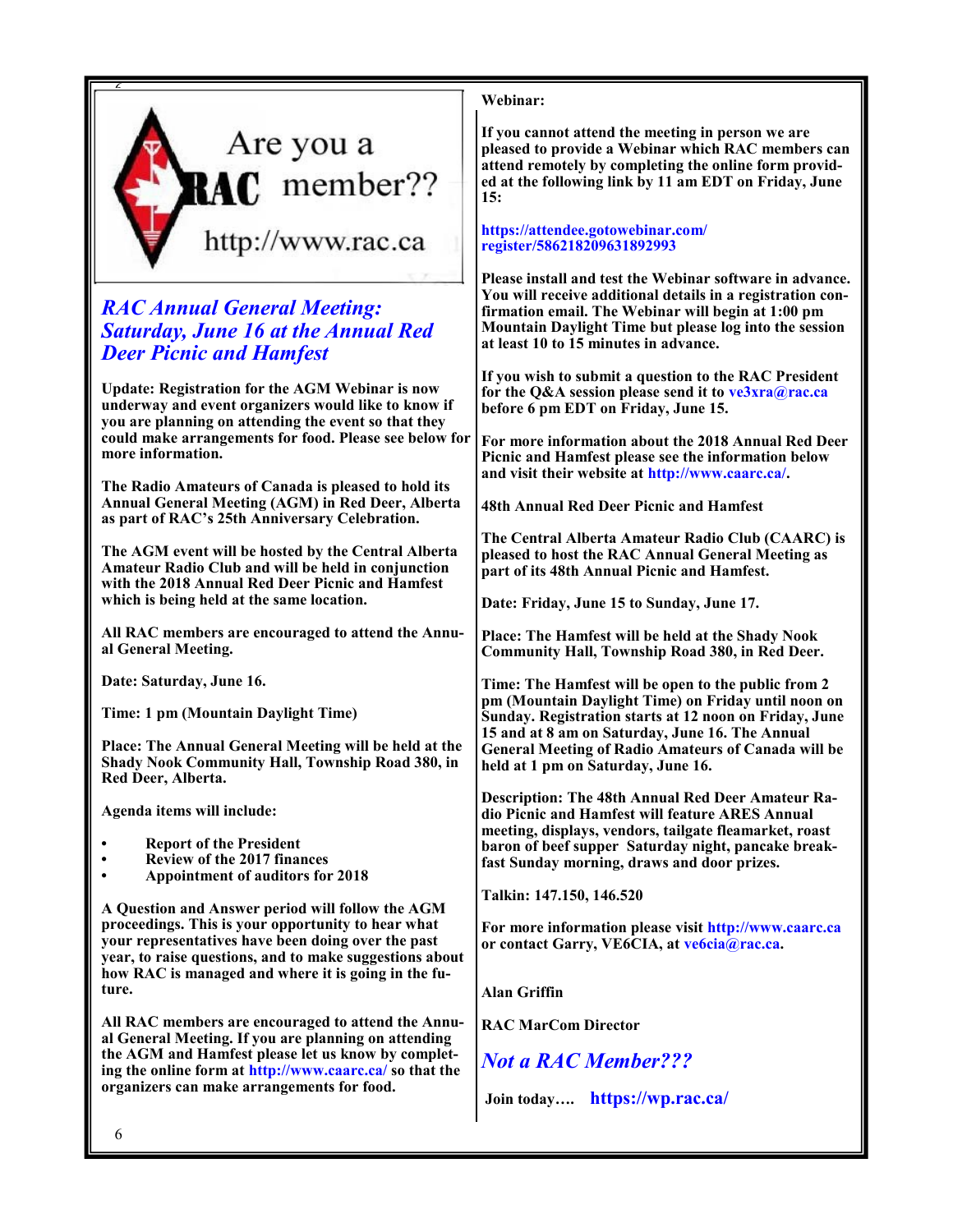

# *RAC Annual General Meeting: Saturday, June 16 at the Annual Red Deer Picnic and Hamfest*

**Update: Registration for the AGM Webinar is now underway and event organizers would like to know if you are planning on attending the event so that they could make arrangements for food. Please see below for more information.**

**The Radio Amateurs of Canada is pleased to hold its Annual General Meeting (AGM) in Red Deer, Alberta as part of RAC's 25th Anniversary Celebration.**

**The AGM event will be hosted by the Central Alberta Amateur Radio Club and will be held in conjunction with the 2018 Annual Red Deer Picnic and Hamfest which is being held at the same location.**

**All RAC members are encouraged to attend the Annual General Meeting.**

**Date: Saturday, June 16.**

**Time: 1 pm (Mountain Daylight Time)**

**Place: The Annual General Meeting will be held at the Shady Nook Community Hall, Township Road 380, in Red Deer, Alberta.**

**Agenda items will include:**

- **• Report of the President**
- **• Review of the 2017 finances**
- **• Appointment of auditors for 2018**

**A Question and Answer period will follow the AGM proceedings. This is your opportunity to hear what your representatives have been doing over the past year, to raise questions, and to make suggestions about how RAC is managed and where it is going in the future.**

**All RAC members are encouraged to attend the Annual General Meeting. If you are planning on attending the AGM and Hamfest please let us know by completing the online form at http://www.caarc.ca/ so that the organizers can make arrangements for food.**

**Webinar:**

**If you cannot attend the meeting in person we are pleased to provide a Webinar which RAC members can attend remotely by completing the online form provided at the following link by 11 am EDT on Friday, June 15:**

#### **https://attendee.gotowebinar.com/ register/586218209631892993**

**Please install and test the Webinar software in advance. You will receive additional details in a registration confirmation email. The Webinar will begin at 1:00 pm Mountain Daylight Time but please log into the session at least 10 to 15 minutes in advance.**

**If you wish to submit a question to the RAC President for the Q&A session please send it to ve3xra@rac.ca before 6 pm EDT on Friday, June 15.**

**For more information about the 2018 Annual Red Deer Picnic and Hamfest please see the information below and visit their website at http://www.caarc.ca/.**

**48th Annual Red Deer Picnic and Hamfest**

**The Central Alberta Amateur Radio Club (CAARC) is pleased to host the RAC Annual General Meeting as part of its 48th Annual Picnic and Hamfest.**

**Date: Friday, June 15 to Sunday, June 17.**

**Place: The Hamfest will be held at the Shady Nook Community Hall, Township Road 380, in Red Deer.**

**Time: The Hamfest will be open to the public from 2 pm (Mountain Daylight Time) on Friday until noon on Sunday. Registration starts at 12 noon on Friday, June 15 and at 8 am on Saturday, June 16. The Annual General Meeting of Radio Amateurs of Canada will be held at 1 pm on Saturday, June 16.**

**Description: The 48th Annual Red Deer Amateur Radio Picnic and Hamfest will feature ARES Annual meeting, displays, vendors, tailgate fleamarket, roast baron of beef supper Saturday night, pancake breakfast Sunday morning, draws and door prizes.**

**Talkin: 147.150, 146.520**

**For more information please visit http://www.caarc.ca or contact Garry, VE6CIA, at ve6cia@rac.ca.**

**Alan Griffin**

**RAC MarCom Director**

*Not a RAC Member???*

**Join today…. https://wp.rac.ca/**